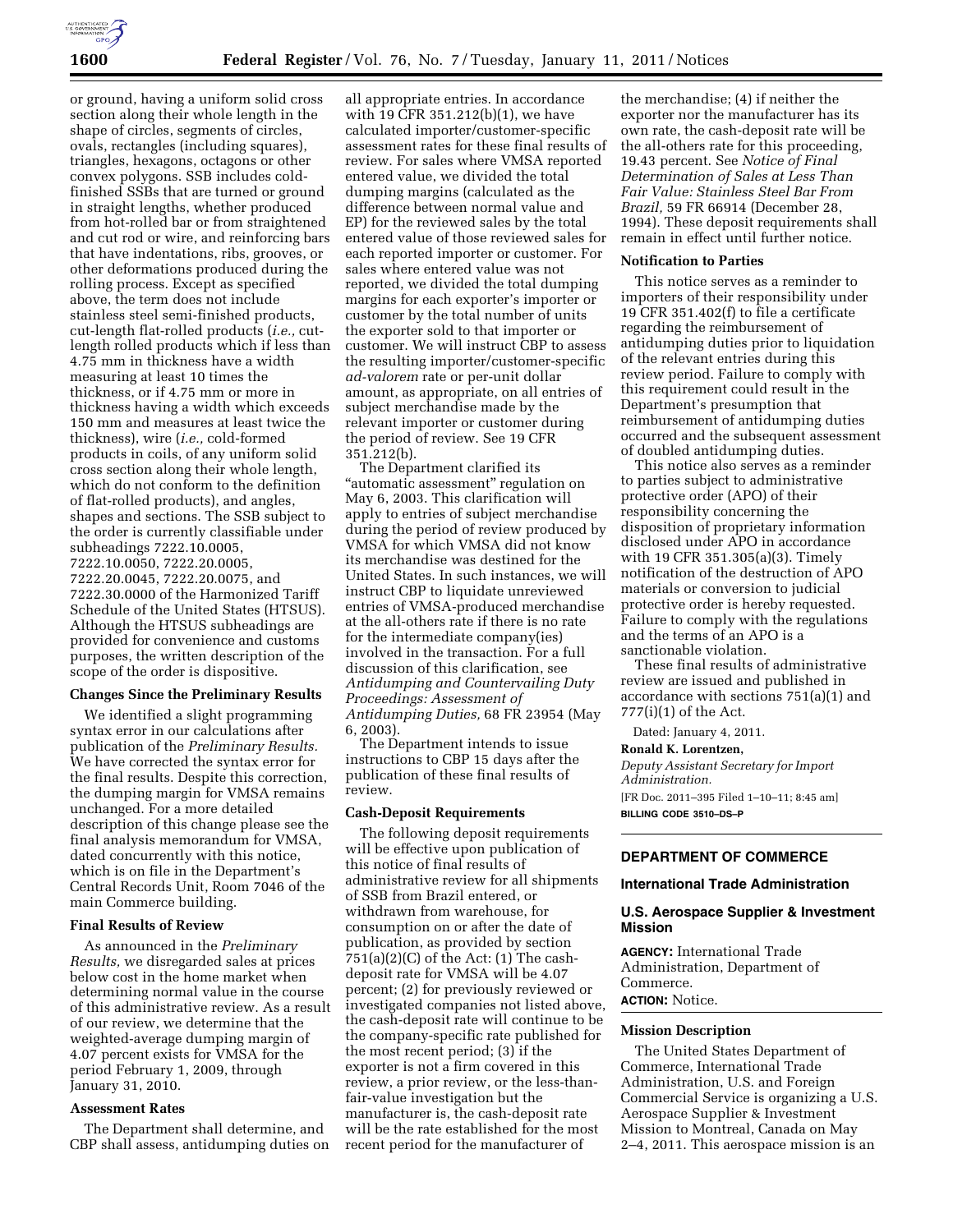

or ground, having a uniform solid cross section along their whole length in the shape of circles, segments of circles, ovals, rectangles (including squares), triangles, hexagons, octagons or other convex polygons. SSB includes coldfinished SSBs that are turned or ground in straight lengths, whether produced from hot-rolled bar or from straightened and cut rod or wire, and reinforcing bars that have indentations, ribs, grooves, or other deformations produced during the rolling process. Except as specified above, the term does not include stainless steel semi-finished products, cut-length flat-rolled products (*i.e.,* cutlength rolled products which if less than 4.75 mm in thickness have a width measuring at least 10 times the thickness, or if 4.75 mm or more in thickness having a width which exceeds 150 mm and measures at least twice the thickness), wire (*i.e.,* cold-formed products in coils, of any uniform solid cross section along their whole length, which do not conform to the definition of flat-rolled products), and angles, shapes and sections. The SSB subject to the order is currently classifiable under subheadings 7222.10.0005, 7222.10.0050, 7222.20.0005, 7222.20.0045, 7222.20.0075, and 7222.30.0000 of the Harmonized Tariff Schedule of the United States (HTSUS). Although the HTSUS subheadings are provided for convenience and customs purposes, the written description of the scope of the order is dispositive.

#### **Changes Since the Preliminary Results**

We identified a slight programming syntax error in our calculations after publication of the *Preliminary Results.*  We have corrected the syntax error for the final results. Despite this correction, the dumping margin for VMSA remains unchanged. For a more detailed description of this change please see the final analysis memorandum for VMSA, dated concurrently with this notice, which is on file in the Department's Central Records Unit, Room 7046 of the main Commerce building.

### **Final Results of Review**

As announced in the *Preliminary Results,* we disregarded sales at prices below cost in the home market when determining normal value in the course of this administrative review. As a result of our review, we determine that the weighted-average dumping margin of 4.07 percent exists for VMSA for the period February 1, 2009, through January 31, 2010.

### **Assessment Rates**

The Department shall determine, and CBP shall assess, antidumping duties on

all appropriate entries. In accordance with 19 CFR 351.212(b)(1), we have calculated importer/customer-specific assessment rates for these final results of review. For sales where VMSA reported entered value, we divided the total dumping margins (calculated as the difference between normal value and EP) for the reviewed sales by the total entered value of those reviewed sales for each reported importer or customer. For sales where entered value was not reported, we divided the total dumping margins for each exporter's importer or customer by the total number of units the exporter sold to that importer or customer. We will instruct CBP to assess the resulting importer/customer-specific *ad-valorem* rate or per-unit dollar amount, as appropriate, on all entries of subject merchandise made by the relevant importer or customer during the period of review. See 19 CFR 351.212(b).

The Department clarified its "automatic assessment" regulation on May 6, 2003. This clarification will apply to entries of subject merchandise during the period of review produced by VMSA for which VMSA did not know its merchandise was destined for the United States. In such instances, we will instruct CBP to liquidate unreviewed entries of VMSA-produced merchandise at the all-others rate if there is no rate for the intermediate company(ies) involved in the transaction. For a full discussion of this clarification, see *Antidumping and Countervailing Duty Proceedings: Assessment of Antidumping Duties,* 68 FR 23954 (May 6, 2003).

The Department intends to issue instructions to CBP 15 days after the publication of these final results of review.

### **Cash-Deposit Requirements**

The following deposit requirements will be effective upon publication of this notice of final results of administrative review for all shipments of SSB from Brazil entered, or withdrawn from warehouse, for consumption on or after the date of publication, as provided by section  $751(a)(2)(C)$  of the Act:  $(1)$  The cashdeposit rate for VMSA will be 4.07 percent; (2) for previously reviewed or investigated companies not listed above, the cash-deposit rate will continue to be the company-specific rate published for the most recent period; (3) if the exporter is not a firm covered in this review, a prior review, or the less-thanfair-value investigation but the manufacturer is, the cash-deposit rate will be the rate established for the most recent period for the manufacturer of

the merchandise; (4) if neither the exporter nor the manufacturer has its own rate, the cash-deposit rate will be the all-others rate for this proceeding, 19.43 percent. See *Notice of Final Determination of Sales at Less Than Fair Value: Stainless Steel Bar From Brazil,* 59 FR 66914 (December 28, 1994). These deposit requirements shall remain in effect until further notice.

#### **Notification to Parties**

This notice serves as a reminder to importers of their responsibility under 19 CFR 351.402(f) to file a certificate regarding the reimbursement of antidumping duties prior to liquidation of the relevant entries during this review period. Failure to comply with this requirement could result in the Department's presumption that reimbursement of antidumping duties occurred and the subsequent assessment of doubled antidumping duties.

This notice also serves as a reminder to parties subject to administrative protective order (APO) of their responsibility concerning the disposition of proprietary information disclosed under APO in accordance with 19 CFR 351.305(a)(3). Timely notification of the destruction of APO materials or conversion to judicial protective order is hereby requested. Failure to comply with the regulations and the terms of an APO is a sanctionable violation.

These final results of administrative review are issued and published in accordance with sections 751(a)(1) and 777(i)(1) of the Act.

Dated: January 4, 2011.

#### **Ronald K. Lorentzen,**

*Deputy Assistant Secretary for Import Administration.*  [FR Doc. 2011–395 Filed 1–10–11; 8:45 am] **BILLING CODE 3510–DS–P** 

## **DEPARTMENT OF COMMERCE**

#### **International Trade Administration**

### **U.S. Aerospace Supplier & Investment Mission**

**AGENCY:** International Trade Administration, Department of Commerce. **ACTION:** Notice.

### **Mission Description**

The United States Department of Commerce, International Trade Administration, U.S. and Foreign Commercial Service is organizing a U.S. Aerospace Supplier & Investment Mission to Montreal, Canada on May 2–4, 2011. This aerospace mission is an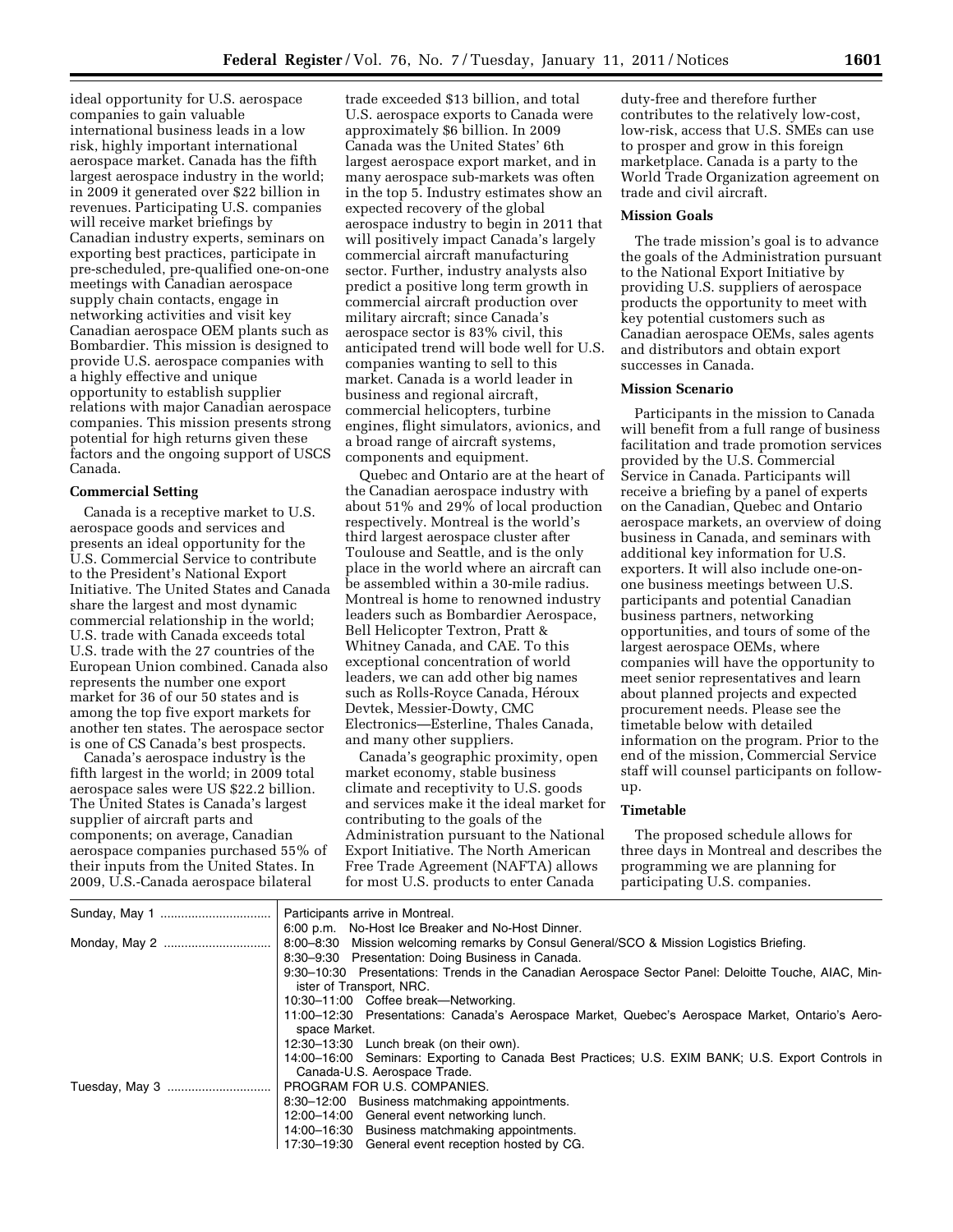ideal opportunity for U.S. aerospace companies to gain valuable international business leads in a low risk, highly important international aerospace market. Canada has the fifth largest aerospace industry in the world; in 2009 it generated over \$22 billion in revenues. Participating U.S. companies will receive market briefings by Canadian industry experts, seminars on exporting best practices, participate in pre-scheduled, pre-qualified one-on-one meetings with Canadian aerospace supply chain contacts, engage in networking activities and visit key Canadian aerospace OEM plants such as Bombardier. This mission is designed to provide U.S. aerospace companies with a highly effective and unique opportunity to establish supplier relations with major Canadian aerospace companies. This mission presents strong potential for high returns given these factors and the ongoing support of USCS Canada.

### **Commercial Setting**

Canada is a receptive market to U.S. aerospace goods and services and presents an ideal opportunity for the U.S. Commercial Service to contribute to the President's National Export Initiative. The United States and Canada share the largest and most dynamic commercial relationship in the world; U.S. trade with Canada exceeds total U.S. trade with the 27 countries of the European Union combined. Canada also represents the number one export market for 36 of our 50 states and is among the top five export markets for another ten states. The aerospace sector is one of CS Canada's best prospects.

Canada's aerospace industry is the fifth largest in the world; in 2009 total aerospace sales were US \$22.2 billion. The United States is Canada's largest supplier of aircraft parts and components; on average, Canadian aerospace companies purchased 55% of their inputs from the United States. In 2009, U.S.-Canada aerospace bilateral

trade exceeded \$13 billion, and total U.S. aerospace exports to Canada were approximately \$6 billion. In 2009 Canada was the United States' 6th largest aerospace export market, and in many aerospace sub-markets was often in the top 5. Industry estimates show an expected recovery of the global aerospace industry to begin in 2011 that will positively impact Canada's largely commercial aircraft manufacturing sector. Further, industry analysts also predict a positive long term growth in commercial aircraft production over military aircraft; since Canada's aerospace sector is 83% civil, this anticipated trend will bode well for U.S. companies wanting to sell to this market. Canada is a world leader in business and regional aircraft, commercial helicopters, turbine engines, flight simulators, avionics, and a broad range of aircraft systems, components and equipment.

Quebec and Ontario are at the heart of the Canadian aerospace industry with about 51% and 29% of local production respectively. Montreal is the world's third largest aerospace cluster after Toulouse and Seattle, and is the only place in the world where an aircraft can be assembled within a 30-mile radius. Montreal is home to renowned industry leaders such as Bombardier Aerospace, Bell Helicopter Textron, Pratt & Whitney Canada, and CAE. To this exceptional concentration of world leaders, we can add other big names such as Rolls-Royce Canada, Héroux Devtek, Messier-Dowty, CMC Electronics—Esterline, Thales Canada, and many other suppliers.

Canada's geographic proximity, open market economy, stable business climate and receptivity to U.S. goods and services make it the ideal market for contributing to the goals of the Administration pursuant to the National Export Initiative. The North American Free Trade Agreement (NAFTA) allows for most U.S. products to enter Canada

duty-free and therefore further contributes to the relatively low-cost, low-risk, access that U.S. SMEs can use to prosper and grow in this foreign marketplace. Canada is a party to the World Trade Organization agreement on trade and civil aircraft.

#### **Mission Goals**

The trade mission's goal is to advance the goals of the Administration pursuant to the National Export Initiative by providing U.S. suppliers of aerospace products the opportunity to meet with key potential customers such as Canadian aerospace OEMs, sales agents and distributors and obtain export successes in Canada.

#### **Mission Scenario**

Participants in the mission to Canada will benefit from a full range of business facilitation and trade promotion services provided by the U.S. Commercial Service in Canada. Participants will receive a briefing by a panel of experts on the Canadian, Quebec and Ontario aerospace markets, an overview of doing business in Canada, and seminars with additional key information for U.S. exporters. It will also include one-onone business meetings between U.S. participants and potential Canadian business partners, networking opportunities, and tours of some of the largest aerospace OEMs, where companies will have the opportunity to meet senior representatives and learn about planned projects and expected procurement needs. Please see the timetable below with detailed information on the program. Prior to the end of the mission, Commercial Service staff will counsel participants on followup.

## **Timetable**

The proposed schedule allows for three days in Montreal and describes the programming we are planning for participating U.S. companies.

|                | Participants arrive in Montreal.                                                                     |  |
|----------------|------------------------------------------------------------------------------------------------------|--|
|                | 6:00 p.m. No-Host Ice Breaker and No-Host Dinner.                                                    |  |
|                | 8:00–8:30 Mission welcoming remarks by Consul General/SCO & Mission Logistics Briefing.              |  |
|                | 8:30-9:30 Presentation: Doing Business in Canada.                                                    |  |
|                | 9:30-10:30 Presentations: Trends in the Canadian Aerospace Sector Panel: Deloitte Touche, AIAC, Min- |  |
|                | ister of Transport, NRC.                                                                             |  |
|                | 10:30-11:00 Coffee break-Networking.                                                                 |  |
|                | 11:00-12:30 Presentations: Canada's Aerospace Market, Quebec's Aerospace Market, Ontario's Aero-     |  |
|                | space Market.                                                                                        |  |
|                | 12:30-13:30 Lunch break (on their own).                                                              |  |
|                | 14:00-16:00 Seminars: Exporting to Canada Best Practices; U.S. EXIM BANK; U.S. Export Controls in    |  |
|                | Canada-U.S. Aerospace Trade.                                                                         |  |
| Tuesday, May 3 | PROGRAM FOR U.S. COMPANIES.                                                                          |  |
|                | 8:30-12:00 Business matchmaking appointments.                                                        |  |
|                | 12:00-14:00 General event networking lunch.                                                          |  |
|                | 14:00-16:30 Business matchmaking appointments.                                                       |  |
|                | 17:30-19:30 General event reception hosted by CG.                                                    |  |